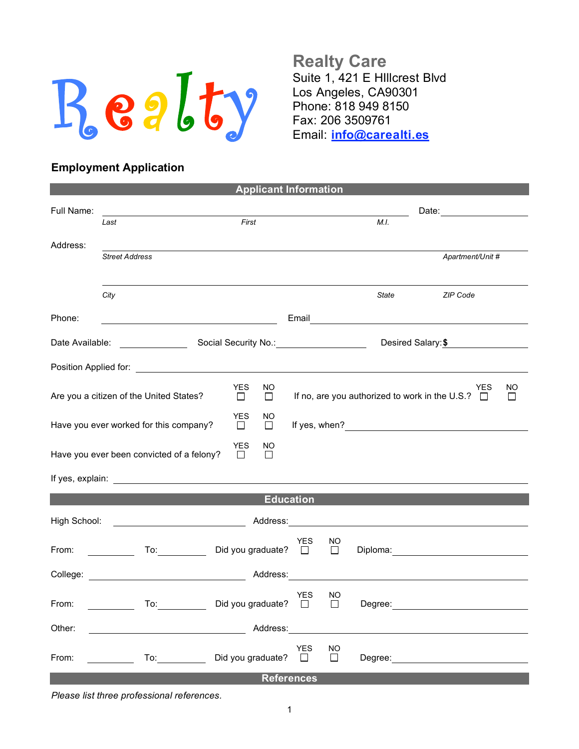

**Realty Care** Suite 1, 421 E HIllcrest Blvd Los Angeles, CA90301 Phone: 818 949 8150 Fax: 206 3509761 Email: **info@carealti.es**

## **Employment Application**

|                                                                            |                                                                                  | <b>Applicant Information</b> |                     |                                                       |                                                                                                                                                                                                                                |  |
|----------------------------------------------------------------------------|----------------------------------------------------------------------------------|------------------------------|---------------------|-------------------------------------------------------|--------------------------------------------------------------------------------------------------------------------------------------------------------------------------------------------------------------------------------|--|
| Full Name:                                                                 |                                                                                  |                              |                     | Date: 2004                                            |                                                                                                                                                                                                                                |  |
|                                                                            | First<br>Last                                                                    |                              |                     | M.I.                                                  |                                                                                                                                                                                                                                |  |
| Address:                                                                   |                                                                                  |                              |                     |                                                       |                                                                                                                                                                                                                                |  |
|                                                                            | <b>Street Address</b>                                                            |                              |                     |                                                       | Apartment/Unit #                                                                                                                                                                                                               |  |
|                                                                            |                                                                                  |                              |                     |                                                       |                                                                                                                                                                                                                                |  |
|                                                                            | City                                                                             |                              |                     | State                                                 | ZIP Code                                                                                                                                                                                                                       |  |
| Phone:                                                                     |                                                                                  |                              |                     | Email <u>________________________________</u>         |                                                                                                                                                                                                                                |  |
| Date Available:                                                            |                                                                                  |                              |                     |                                                       | Desired Salary: \$                                                                                                                                                                                                             |  |
|                                                                            |                                                                                  |                              |                     |                                                       |                                                                                                                                                                                                                                |  |
|                                                                            | <b>YES</b><br>NO.<br>Are you a citizen of the United States?<br>$\Box$<br>$\Box$ |                              |                     | If no, are you authorized to work in the U.S.? $\Box$ | <b>NO</b><br>YES<br>$\perp$                                                                                                                                                                                                    |  |
|                                                                            | <b>YES</b><br>NO<br>Have you ever worked for this company?<br>$\Box$<br>$\Box$   |                              |                     |                                                       |                                                                                                                                                                                                                                |  |
| YES<br>NO<br>Have you ever been convicted of a felony?<br>$\Box$<br>$\Box$ |                                                                                  |                              |                     |                                                       |                                                                                                                                                                                                                                |  |
|                                                                            |                                                                                  |                              |                     |                                                       |                                                                                                                                                                                                                                |  |
| <b>Education</b>                                                           |                                                                                  |                              |                     |                                                       |                                                                                                                                                                                                                                |  |
| High School:                                                               | <u> 1989 - Johann Barbara, martin a</u>                                          |                              |                     |                                                       |                                                                                                                                                                                                                                |  |
| From:                                                                      | To: Did you graduate? □                                                          | <b>YES</b>                   | NO<br>$\Box$        |                                                       | Diploma: and the contract of the contract of the contract of the contract of the contract of the contract of the contract of the contract of the contract of the contract of the contract of the contract of the contract of t |  |
|                                                                            | College: Address:                                                                |                              |                     |                                                       |                                                                                                                                                                                                                                |  |
| From:                                                                      | Did you graduate? $\square$<br>To:                                               | <b>YES</b>                   | NO<br>$\Box$        | Degree:                                               |                                                                                                                                                                                                                                |  |
| Other:                                                                     |                                                                                  |                              |                     |                                                       |                                                                                                                                                                                                                                |  |
| From:                                                                      | Did you graduate? $\square$<br>To: $\qquad \qquad$                               | <b>YES</b>                   | <b>NO</b><br>$\Box$ |                                                       |                                                                                                                                                                                                                                |  |
|                                                                            |                                                                                  | <b>References</b>            |                     |                                                       |                                                                                                                                                                                                                                |  |

*Please list three professional references.*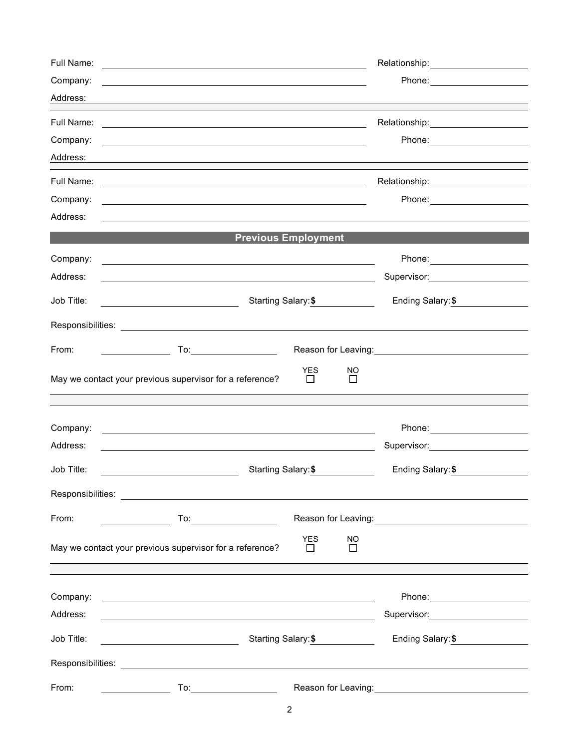| Full Name: |                                                                                                                                                                                                                               |                                              | Relationship: 2000                                                                                               |
|------------|-------------------------------------------------------------------------------------------------------------------------------------------------------------------------------------------------------------------------------|----------------------------------------------|------------------------------------------------------------------------------------------------------------------|
| Company:   |                                                                                                                                                                                                                               |                                              |                                                                                                                  |
| Address:   | and the control of the control of the control of the control of the control of the control of the control of the                                                                                                              |                                              |                                                                                                                  |
| Full Name: | <u> 1989 - Johann Stoff, deutscher Stoffen und der Stoffen und der Stoffen und der Stoffen und der Stoffen und der</u>                                                                                                        |                                              |                                                                                                                  |
| Company:   | <u> 1989 - Johann Stoff, deutscher Stoffen und der Stoffen und der Stoffen und der Stoffen und der Stoffen und der</u>                                                                                                        |                                              |                                                                                                                  |
| Address:   | and the control of the control of the control of the control of the control of the control of the control of the                                                                                                              |                                              |                                                                                                                  |
| Full Name: | <u> 1989 - Johann Stoff, amerikansk politiker (d. 1989)</u>                                                                                                                                                                   |                                              |                                                                                                                  |
| Company:   | <u> 1989 - Johann Stein, marwolaethau a bhann an t-Amhain ann an t-Amhain an t-Amhain an t-Amhain an t-Amhain an </u>                                                                                                         |                                              |                                                                                                                  |
| Address:   |                                                                                                                                                                                                                               |                                              |                                                                                                                  |
|            |                                                                                                                                                                                                                               | <b>Previous Employment</b>                   |                                                                                                                  |
| Company:   |                                                                                                                                                                                                                               |                                              |                                                                                                                  |
| Address:   |                                                                                                                                                                                                                               |                                              | Supervisor: _______________________                                                                              |
| Job Title: |                                                                                                                                                                                                                               | Starting Salary: \$                          | Ending Salary: \$                                                                                                |
|            |                                                                                                                                                                                                                               |                                              |                                                                                                                  |
| From:      |                                                                                                                                                                                                                               |                                              | Reason for Leaving: 1997                                                                                         |
|            | May we contact your previous supervisor for a reference?                                                                                                                                                                      | <b>YES</b><br><b>NO</b><br>$\Box$<br>П       |                                                                                                                  |
|            |                                                                                                                                                                                                                               |                                              |                                                                                                                  |
| Company:   |                                                                                                                                                                                                                               |                                              |                                                                                                                  |
| Address:   | <u> 1989 - Johann Stoff, amerikansk politiker (d. 1989)</u>                                                                                                                                                                   |                                              | Supervisor: Victor Control of Control Control Control Control Control Control Control Control Control Control Co |
| Job Title: | Starting Salary: \$                                                                                                                                                                                                           |                                              | Ending Salary: \$                                                                                                |
|            |                                                                                                                                                                                                                               |                                              |                                                                                                                  |
| From:      |                                                                                                                                                                                                                               |                                              |                                                                                                                  |
|            | May we contact your previous supervisor for a reference?                                                                                                                                                                      | <b>YES</b><br><b>NO</b><br>$\Box$<br>$\perp$ |                                                                                                                  |
|            |                                                                                                                                                                                                                               |                                              |                                                                                                                  |
| Company:   | <u> 1989 - Johann Barnett, fransk politiker (d. 1989)</u>                                                                                                                                                                     |                                              |                                                                                                                  |
| Address:   | <u> 1989 - Johann Stoff, deutscher Stoffen und der Stoffen und der Stoffen und der Stoffen und der Stoffen und der</u>                                                                                                        |                                              | Supervisor: 2000                                                                                                 |
| Job Title: | Starting Salary: \$                                                                                                                                                                                                           | Ending Salary: \$                            |                                                                                                                  |
|            | Responsibilities: Les and the contract of the contract of the contract of the contract of the contract of the contract of the contract of the contract of the contract of the contract of the contract of the contract of the |                                              |                                                                                                                  |
| From:      | To:                                                                                                                                                                                                                           |                                              |                                                                                                                  |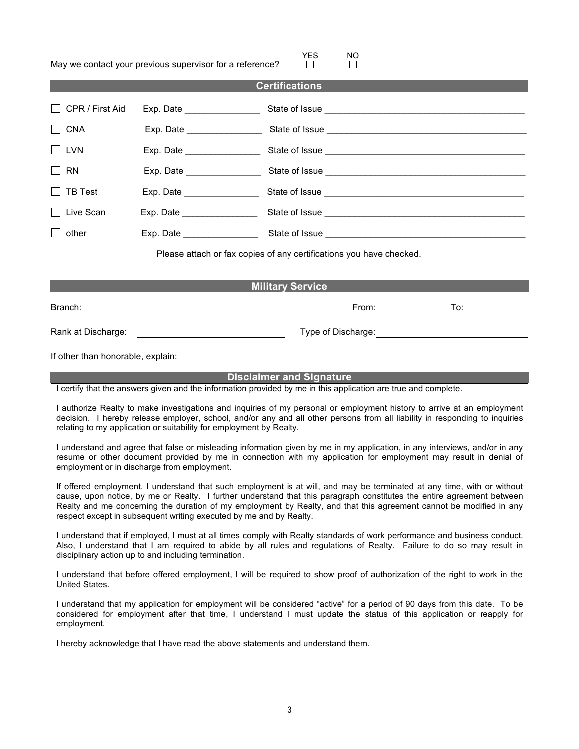|                                                                                                                                                                                                                                                                                                                                                                                                                                                | May we contact your previous supervisor for a reference?            | <b>YES</b>              | NO.<br>l 1            |                                                                                                                                                                                                                                        |
|------------------------------------------------------------------------------------------------------------------------------------------------------------------------------------------------------------------------------------------------------------------------------------------------------------------------------------------------------------------------------------------------------------------------------------------------|---------------------------------------------------------------------|-------------------------|-----------------------|----------------------------------------------------------------------------------------------------------------------------------------------------------------------------------------------------------------------------------------|
|                                                                                                                                                                                                                                                                                                                                                                                                                                                |                                                                     | <b>Certifications</b>   |                       |                                                                                                                                                                                                                                        |
| CPR / First Aid                                                                                                                                                                                                                                                                                                                                                                                                                                |                                                                     |                         |                       |                                                                                                                                                                                                                                        |
| CNA                                                                                                                                                                                                                                                                                                                                                                                                                                            |                                                                     |                         |                       |                                                                                                                                                                                                                                        |
| l I lvn                                                                                                                                                                                                                                                                                                                                                                                                                                        |                                                                     |                         |                       |                                                                                                                                                                                                                                        |
| <b>RN</b>                                                                                                                                                                                                                                                                                                                                                                                                                                      |                                                                     |                         |                       |                                                                                                                                                                                                                                        |
| <b>TB Test</b>                                                                                                                                                                                                                                                                                                                                                                                                                                 |                                                                     |                         |                       |                                                                                                                                                                                                                                        |
| Live Scan                                                                                                                                                                                                                                                                                                                                                                                                                                      |                                                                     |                         |                       |                                                                                                                                                                                                                                        |
| other<br>$\mathsf{L}$                                                                                                                                                                                                                                                                                                                                                                                                                          |                                                                     |                         |                       |                                                                                                                                                                                                                                        |
|                                                                                                                                                                                                                                                                                                                                                                                                                                                | Please attach or fax copies of any certifications you have checked. |                         |                       |                                                                                                                                                                                                                                        |
|                                                                                                                                                                                                                                                                                                                                                                                                                                                |                                                                     | <b>Military Service</b> |                       |                                                                                                                                                                                                                                        |
| Branch:                                                                                                                                                                                                                                                                                                                                                                                                                                        |                                                                     |                         |                       |                                                                                                                                                                                                                                        |
|                                                                                                                                                                                                                                                                                                                                                                                                                                                | <u> 1989 - Andrea Stadt Britain, amerikansk politiker (</u>         |                         | From: $\sqrt{2\pi r}$ |                                                                                                                                                                                                                                        |
|                                                                                                                                                                                                                                                                                                                                                                                                                                                | Rank at Discharge: <u>_________________________________</u>         |                         |                       | Type of Discharge:<br><u> Letter and the contract of the contract of the contract of the contract of the contract of the contract of the contract of the contract of the contract of the contract of the contract of the contract </u> |
|                                                                                                                                                                                                                                                                                                                                                                                                                                                |                                                                     |                         |                       |                                                                                                                                                                                                                                        |
| <b>Disclaimer and Signature</b><br>I certify that the answers given and the information provided by me in this application are true and complete.                                                                                                                                                                                                                                                                                              |                                                                     |                         |                       |                                                                                                                                                                                                                                        |
| I authorize Realty to make investigations and inquiries of my personal or employment history to arrive at an employment<br>decision. I hereby release employer, school, and/or any and all other persons from all liability in responding to inquiries<br>relating to my application or suitability for employment by Realty.                                                                                                                  |                                                                     |                         |                       |                                                                                                                                                                                                                                        |
| I understand and agree that false or misleading information given by me in my application, in any interviews, and/or in any<br>resume or other document provided by me in connection with my application for employment may result in denial of<br>employment or in discharge from employment.                                                                                                                                                 |                                                                     |                         |                       |                                                                                                                                                                                                                                        |
| If offered employment. I understand that such employment is at will, and may be terminated at any time, with or without<br>cause, upon notice, by me or Realty. I further understand that this paragraph constitutes the entire agreement between<br>Realty and me concerning the duration of my employment by Realty, and that this agreement cannot be modified in any<br>respect except in subsequent writing executed by me and by Realty. |                                                                     |                         |                       |                                                                                                                                                                                                                                        |
| I understand that if employed, I must at all times comply with Realty standards of work performance and business conduct.<br>Also, I understand that I am required to abide by all rules and regulations of Realty. Failure to do so may result in<br>disciplinary action up to and including termination.                                                                                                                                     |                                                                     |                         |                       |                                                                                                                                                                                                                                        |
| I understand that before offered employment, I will be required to show proof of authorization of the right to work in the<br>United States.                                                                                                                                                                                                                                                                                                   |                                                                     |                         |                       |                                                                                                                                                                                                                                        |
| I understand that my application for employment will be considered "active" for a period of 90 days from this date. To be<br>considered for employment after that time, I understand I must update the status of this application or reapply for<br>employment.                                                                                                                                                                                |                                                                     |                         |                       |                                                                                                                                                                                                                                        |
| I hereby acknowledge that I have read the above statements and understand them.                                                                                                                                                                                                                                                                                                                                                                |                                                                     |                         |                       |                                                                                                                                                                                                                                        |